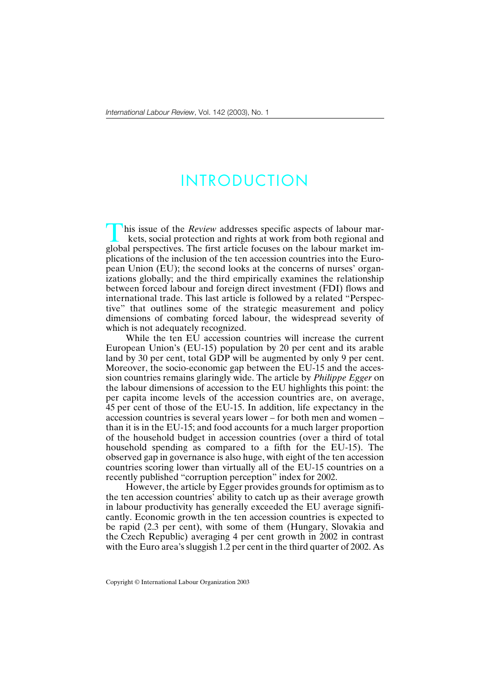## INTRODUCTION

his issue of the *Review* addresses specific aspects of labour mar-<br>kets, social protection and rights at work from both regional and global perspectives. The first article focuses on the labour market implications of the inclusion of the ten accession countries into the European Union (EU); the second looks at the concerns of nurses' organizations globally; and the third empirically examines the relationship between forced labour and foreign direct investment (FDI) flows and international trade. This last article is followed by a related "Perspective" that outlines some of the strategic measurement and policy dimensions of combating forced labour, the widespread severity of which is not adequately recognized.

While the ten EU accession countries will increase the current European Union's (EU-15) population by 20 per cent and its arable land by 30 per cent, total GDP will be augmented by only 9 per cent. Moreover, the socio-economic gap between the EU-15 and the accession countries remains glaringly wide. The article by *Philippe Egger* on the labour dimensions of accession to the EU highlights this point: the per capita income levels of the accession countries are, on average, 45 per cent of those of the EU-15. In addition, life expectancy in the accession countries is several years lower – for both men and women – than it is in the EU-15; and food accounts for a much larger proportion of the household budget in accession countries (over a third of total household spending as compared to a fifth for the EU-15). The observed gap in governance is also huge, with eight of the ten accession countries scoring lower than virtually all of the EU-15 countries on a recently published "corruption perception" index for 2002.

However, the article by Egger provides grounds for optimism as to the ten accession countries' ability to catch up as their average growth in labour productivity has generally exceeded the EU average significantly. Economic growth in the ten accession countries is expected to be rapid (2.3 per cent), with some of them (Hungary, Slovakia and the Czech Republic) averaging 4 per cent growth in 2002 in contrast with the Euro area's sluggish 1.2 per cent in the third quarter of 2002. As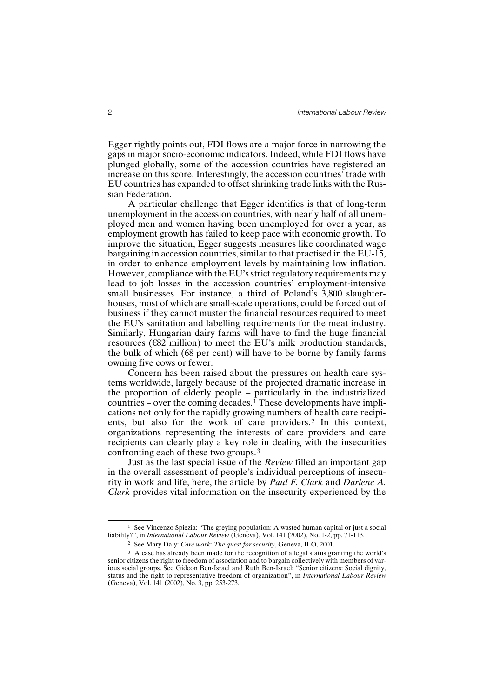Egger rightly points out, FDI flows are a major force in narrowing the gaps in major socio-economic indicators. Indeed, while FDI flows have plunged globally, some of the accession countries have registered an increase on this score. Interestingly, the accession countries' trade with EU countries has expanded to offset shrinking trade links with the Russian Federation.

A particular challenge that Egger identifies is that of long-term unemployment in the accession countries, with nearly half of all unemployed men and women having been unemployed for over a year, as employment growth has failed to keep pace with economic growth. To improve the situation, Egger suggests measures like coordinated wage bargaining in accession countries, similar to that practised in the EU-15, in order to enhance employment levels by maintaining low inflation. However, compliance with the EU's strict regulatory requirements may lead to job losses in the accession countries' employment-intensive small businesses. For instance, a third of Poland's 3,800 slaughterhouses, most of which are small-scale operations, could be forced out of business if they cannot muster the financial resources required to meet the EU's sanitation and labelling requirements for the meat industry. Similarly, Hungarian dairy farms will have to find the huge financial resources ( $\epsilon$ 82 million) to meet the EU's milk production standards, the bulk of which (68 per cent) will have to be borne by family farms owning five cows or fewer.

Concern has been raised about the pressures on health care systems worldwide, largely because of the projected dramatic increase in the proportion of elderly people – particularly in the industrialized countries – over the coming decades.<sup>1</sup> These developments have implications not only for the rapidly growing numbers of health care recipients, but also for the work of care providers.2 In this context, organizations representing the interests of care providers and care recipients can clearly play a key role in dealing with the insecurities confronting each of these two groups.3

Just as the last special issue of the *Review* filled an important gap in the overall assessment of people's individual perceptions of insecurity in work and life, here, the article by *Paul F. Clark* and *Darlene A. Clark* provides vital information on the insecurity experienced by the

<sup>&</sup>lt;sup>1</sup> See Vincenzo Spiezia: "The greying population: A wasted human capital or just a social liability?", in *International Labour Review* (Geneva), Vol. 141 (2002), No. 1-2, pp. 71-113.

<sup>2</sup> See Mary Daly: *Care work: The quest for security*, Geneva, ILO, 2001.

<sup>&</sup>lt;sup>3</sup> A case has already been made for the recognition of a legal status granting the world's senior citizens the right to freedom of association and to bargain collectively with members of various social groups. See Gideon Ben-Israel and Ruth Ben-Israel: "Senior citizens: Social dignity, status and the right to representative freedom of organization", in *International Labour Review* (Geneva), Vol. 141 (2002), No. 3, pp. 253-273.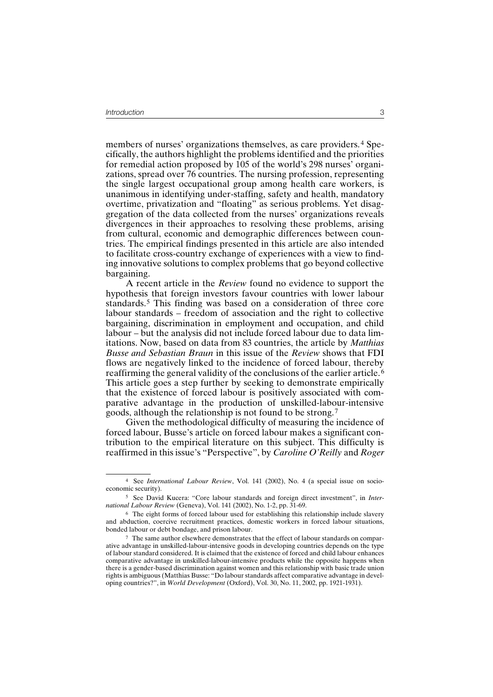members of nurses' organizations themselves, as care providers.<sup>4</sup> Specifically, the authors highlight the problems identified and the priorities for remedial action proposed by 105 of the world's 298 nurses' organizations, spread over 76 countries. The nursing profession, representing the single largest occupational group among health care workers, is unanimous in identifying under-staffing, safety and health, mandatory overtime, privatization and "floating" as serious problems. Yet disaggregation of the data collected from the nurses' organizations reveals divergences in their approaches to resolving these problems, arising from cultural, economic and demographic differences between countries. The empirical findings presented in this article are also intended to facilitate cross-country exchange of experiences with a view to finding innovative solutions to complex problems that go beyond collective bargaining.

A recent article in the *Review* found no evidence to support the hypothesis that foreign investors favour countries with lower labour standards.5 This finding was based on a consideration of three core labour standards – freedom of association and the right to collective bargaining, discrimination in employment and occupation, and child labour – but the analysis did not include forced labour due to data limitations. Now, based on data from 83 countries, the article by *Matthias Busse and Sebastian Braun* in this issue of the *Review* shows that FDI flows are negatively linked to the incidence of forced labour, thereby reaffirming the general validity of the conclusions of the earlier article. <sup>6</sup> This article goes a step further by seeking to demonstrate empirically that the existence of forced labour is positively associated with comparative advantage in the production of unskilled-labour-intensive goods, although the relationship is not found to be strong. <sup>7</sup>

Given the methodological difficulty of measuring the incidence of forced labour, Busse's article on forced labour makes a significant contribution to the empirical literature on this subject. This difficulty is reaffirmed in this issue's "Perspective", by *Caroline O'Reilly* and *Roger*

<sup>4</sup> See *International Labour Review*, Vol. 141 (2002), No. 4 (a special issue on socioeconomic security).

<sup>5</sup> See David Kucera: "Core labour standards and foreign direct investment", in *International Labour Review* (Geneva), Vol. 141 (2002), No. 1-2, pp. 31-69.

<sup>6</sup> The eight forms of forced labour used for establishing this relationship include slavery and abduction, coercive recruitment practices, domestic workers in forced labour situations, bonded labour or debt bondage, and prison labour.

<sup>7</sup> The same author elsewhere demonstrates that the effect of labour standards on comparative advantage in unskilled-labour-intensive goods in developing countries depends on the type of labour standard considered. It is claimed that the existence of forced and child labour enhances comparative advantage in unskilled-labour-intensive products while the opposite happens when there is a gender-based discrimination against women and this relationship with basic trade union rights is ambiguous (Matthias Busse: "Do labour standards affect comparative advantage in developing countries?", in *World Development* (Oxford), Vol. 30, No. 11, 2002, pp. 1921-1931).